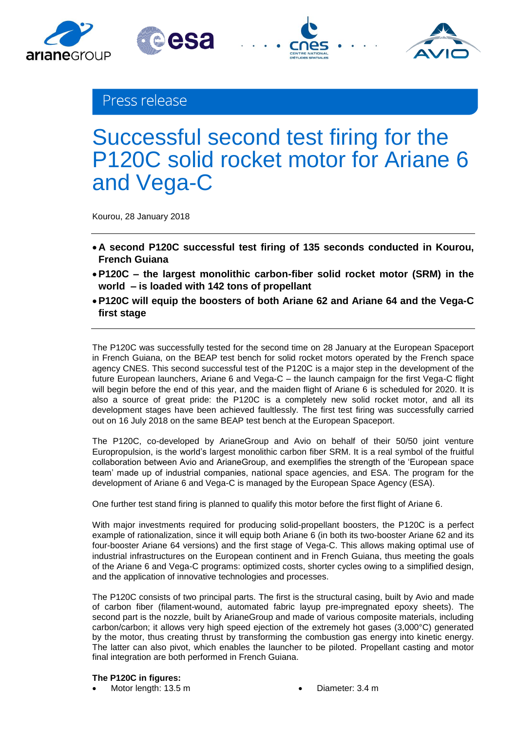



esa

# Successful second test firing for the P120C solid rocket motor for Ariane 6 and Vega-C

Kourou, 28 January 2018

- **A second P120C successful test firing of 135 seconds conducted in Kourou, French Guiana**
- **P120C – the largest monolithic carbon-fiber solid rocket motor (SRM) in the world – is loaded with 142 tons of propellant**
- **P120C will equip the boosters of both Ariane 62 and Ariane 64 and the Vega-C first stage**

The P120C was successfully tested for the second time on 28 January at the European Spaceport in French Guiana, on the BEAP test bench for solid rocket motors operated by the French space agency CNES. This second successful test of the P120C is a major step in the development of the future European launchers, Ariane 6 and Vega-C – the launch campaign for the first Vega-C flight will begin before the end of this year, and the maiden flight of Ariane 6 is scheduled for 2020. It is also a source of great pride: the P120C is a completely new solid rocket motor, and all its development stages have been achieved faultlessly. The first test firing was successfully carried out on 16 July 2018 on the same BEAP test bench at the European Spaceport.

The P120C, co-developed by ArianeGroup and Avio on behalf of their 50/50 joint venture Europropulsion, is the world's largest monolithic carbon fiber SRM. It is a real symbol of the fruitful collaboration between Avio and ArianeGroup, and exemplifies the strength of the 'European space team' made up of industrial companies, national space agencies, and ESA. The program for the development of Ariane 6 and Vega-C is managed by the European Space Agency (ESA).

One further test stand firing is planned to qualify this motor before the first flight of Ariane 6.

With major investments required for producing solid-propellant boosters, the P120C is a perfect example of rationalization, since it will equip both Ariane 6 (in both its two-booster Ariane 62 and its four-booster Ariane 64 versions) and the first stage of Vega-C. This allows making optimal use of industrial infrastructures on the European continent and in French Guiana, thus meeting the goals of the Ariane 6 and Vega-C programs: optimized costs, shorter cycles owing to a simplified design, and the application of innovative technologies and processes.

The P120C consists of two principal parts. The first is the structural casing, built by Avio and made of carbon fiber (filament-wound, automated fabric layup pre-impregnated epoxy sheets). The second part is the nozzle, built by ArianeGroup and made of various composite materials, including carbon/carbon; it allows very high speed ejection of the extremely hot gases (3,000°C) generated by the motor, thus creating thrust by transforming the combustion gas energy into kinetic energy. The latter can also pivot, which enables the launcher to be piloted. Propellant casting and motor final integration are both performed in French Guiana.

# **The P120C in figures:**

- Motor length: 13.5 m Diameter: 3.4 m
	-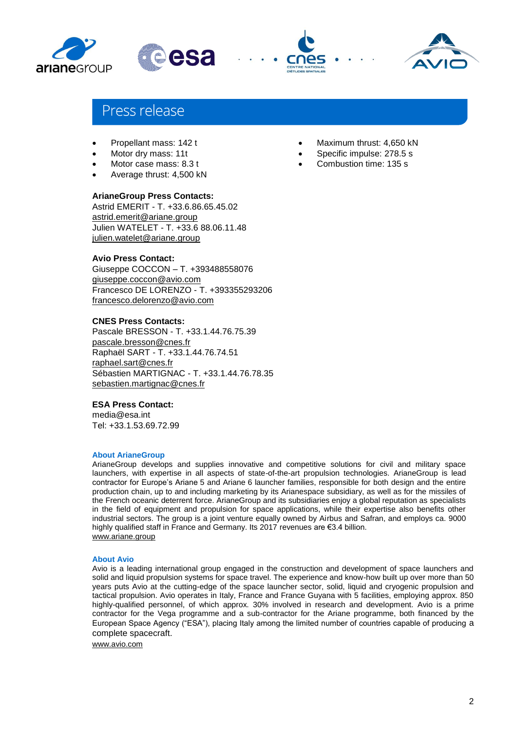



# Press release

- Propellant mass: 142 t
- Motor dry mass: 11t
- Motor case mass: 8.3 t
- Average thrust: 4,500 kN

## **ArianeGroup Press Contacts:**

Astrid EMERIT - T. +33.6.86.65.45.02 [astrid.emerit@ariane.group](mailto:astrid.emerit@ariane.group) Julien WATELET - T. +33.6 88.06.11.48 [julien.watelet@ariane.group](mailto:julien.watelet@ariane.group)

## **Avio Press Contact:**

Giuseppe COCCON – T. +393488558076 [giuseppe.coccon@avio.com](mailto:giuseppe.coccon@avio.com) Francesco DE LORENZO - T. +393355293206 [francesco.delorenzo@avio.com](mailto:francesco.delorenzo@avio.com)

### **CNES Press Contacts:**

Pascale BRESSON - T. +33.1.44.76.75.39 [pascale.bresson@cnes.fr](mailto:astrid.emerit@ariane.group) Raphaël SART - T. +33.1.44.76.74.51 [raphael.sart@cnes.fr](mailto:julien.watelet@ariane.group) Sébastien MARTIGNAC - T. +33.1.44.76.78.35 [sebastien.martignac@cnes.fr](mailto:sebastien.martignac@cnes.fr)

### **ESA Press Contact:**

media@esa.int Tel: +33.1.53.69.72.99

#### **About ArianeGroup**

ArianeGroup develops and supplies innovative and competitive solutions for civil and military space launchers, with expertise in all aspects of state-of-the-art propulsion technologies. ArianeGroup is lead contractor for Europe's Ariane 5 and Ariane 6 launcher families, responsible for both design and the entire production chain, up to and including marketing by its Arianespace subsidiary, as well as for the missiles of the French oceanic deterrent force. ArianeGroup and its subsidiaries enjoy a global reputation as specialists in the field of equipment and propulsion for space applications, while their expertise also benefits other industrial sectors. The group is a joint venture equally owned by Airbus and Safran, and employs ca. 9000 highly qualified staff in France and Germany. Its 2017 revenues are €3.4 billion. [www.ariane.group](http://www.ariane.group/)

#### **About Avio**

Avio is a leading international group engaged in the construction and development of space launchers and solid and liquid propulsion systems for space travel. The experience and know-how built up over more than 50 years puts Avio at the cutting-edge of the space launcher sector, solid, liquid and cryogenic propulsion and tactical propulsion. Avio operates in Italy, France and France Guyana with 5 facilities, employing approx. 850 highly-qualified personnel, of which approx. 30% involved in research and development. Avio is a prime contractor for the Vega programme and a sub-contractor for the Ariane programme, both financed by the European Space Agency ("ESA"), placing Italy among the limited number of countries capable of producing a complete spacecraft.

[www.avio.com](http://www.avio.com/)

- Maximum thrust: 4,650 kN
- Specific impulse: 278.5 s
- Combustion time: 135 s